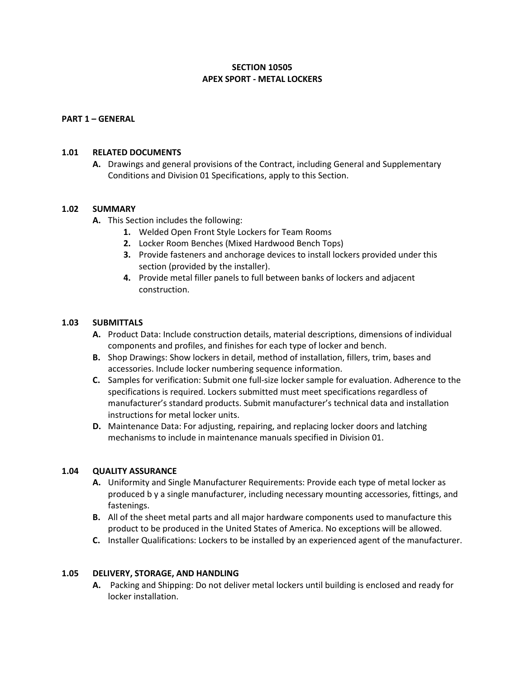# **SECTION 10505 APEX SPORT - METAL LOCKERS**

### **PART 1 – GENERAL**

#### **1.01 RELATED DOCUMENTS**

**A.** Drawings and general provisions of the Contract, including General and Supplementary Conditions and Division 01 Specifications, apply to this Section.

#### **1.02 SUMMARY**

- **A.** This Section includes the following:
	- **1.** Welded Open Front Style Lockers for Team Rooms
	- **2.** Locker Room Benches (Mixed Hardwood Bench Tops)
	- **3.** Provide fasteners and anchorage devices to install lockers provided under this section (provided by the installer).
	- **4.** Provide metal filler panels to full between banks of lockers and adjacent construction.

#### **1.03 SUBMITTALS**

- **A.** Product Data: Include construction details, material descriptions, dimensions of individual components and profiles, and finishes for each type of locker and bench.
- **B.** Shop Drawings: Show lockers in detail, method of installation, fillers, trim, bases and accessories. Include locker numbering sequence information.
- **C.** Samples for verification: Submit one full-size locker sample for evaluation. Adherence to the specifications is required. Lockers submitted must meet specifications regardless of manufacturer's standard products. Submit manufacturer's technical data and installation instructions for metal locker units.
- **D.** Maintenance Data: For adjusting, repairing, and replacing locker doors and latching mechanisms to include in maintenance manuals specified in Division 01.

### **1.04 QUALITY ASSURANCE**

- **A.** Uniformity and Single Manufacturer Requirements: Provide each type of metal locker as produced b y a single manufacturer, including necessary mounting accessories, fittings, and fastenings.
- **B.** All of the sheet metal parts and all major hardware components used to manufacture this product to be produced in the United States of America. No exceptions will be allowed.
- **C.** Installer Qualifications: Lockers to be installed by an experienced agent of the manufacturer.

#### **1.05 DELIVERY, STORAGE, AND HANDLING**

**A.** Packing and Shipping: Do not deliver metal lockers until building is enclosed and ready for locker installation.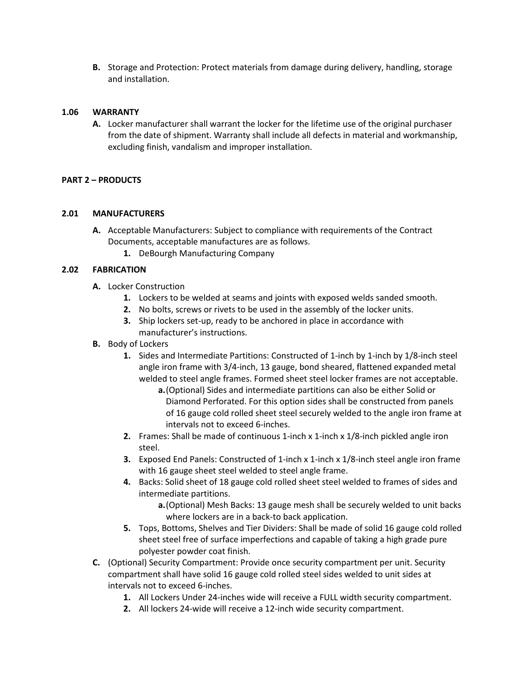**B.** Storage and Protection: Protect materials from damage during delivery, handling, storage and installation.

### **1.06 WARRANTY**

**A.** Locker manufacturer shall warrant the locker for the lifetime use of the original purchaser from the date of shipment. Warranty shall include all defects in material and workmanship, excluding finish, vandalism and improper installation.

# **PART 2 – PRODUCTS**

### **2.01 MANUFACTURERS**

- **A.** Acceptable Manufacturers: Subject to compliance with requirements of the Contract Documents, acceptable manufactures are as follows.
	- **1.** DeBourgh Manufacturing Company

# **2.02 FABRICATION**

- **A.** Locker Construction
	- **1.** Lockers to be welded at seams and joints with exposed welds sanded smooth.
	- **2.** No bolts, screws or rivets to be used in the assembly of the locker units.
	- **3.** Ship lockers set-up, ready to be anchored in place in accordance with manufacturer's instructions.
- **B.** Body of Lockers
	- **1.** Sides and Intermediate Partitions: Constructed of 1-inch by 1-inch by 1/8-inch steel angle iron frame with 3/4-inch, 13 gauge, bond sheared, flattened expanded metal welded to steel angle frames. Formed sheet steel locker frames are not acceptable.
		- **a.**(Optional) Sides and intermediate partitions can also be either Solid or Diamond Perforated. For this option sides shall be constructed from panels of 16 gauge cold rolled sheet steel securely welded to the angle iron frame at intervals not to exceed 6-inches.
	- **2.** Frames: Shall be made of continuous 1-inch x 1-inch x 1/8-inch pickled angle iron steel.
	- **3.** Exposed End Panels: Constructed of 1-inch x 1-inch x 1/8-inch steel angle iron frame with 16 gauge sheet steel welded to steel angle frame.
	- **4.** Backs: Solid sheet of 18 gauge cold rolled sheet steel welded to frames of sides and intermediate partitions.
		- **a.**(Optional) Mesh Backs: 13 gauge mesh shall be securely welded to unit backs where lockers are in a back-to back application.
	- **5.** Tops, Bottoms, Shelves and Tier Dividers: Shall be made of solid 16 gauge cold rolled sheet steel free of surface imperfections and capable of taking a high grade pure polyester powder coat finish.
- **C.** (Optional) Security Compartment: Provide once security compartment per unit. Security compartment shall have solid 16 gauge cold rolled steel sides welded to unit sides at intervals not to exceed 6-inches.
	- **1.** All Lockers Under 24-inches wide will receive a FULL width security compartment.
	- **2.** All lockers 24-wide will receive a 12-inch wide security compartment.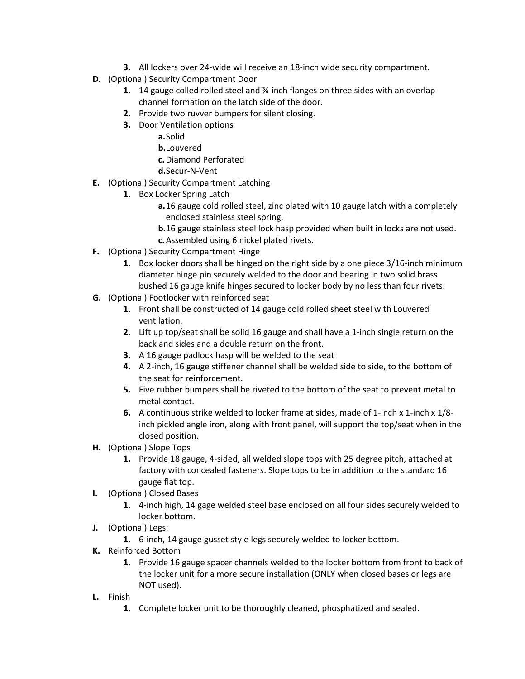- **3.** All lockers over 24-wide will receive an 18-inch wide security compartment.
- **D.** (Optional) Security Compartment Door
	- **1.** 14 gauge colled rolled steel and ¾-inch flanges on three sides with an overlap channel formation on the latch side of the door.
	- **2.** Provide two ruvver bumpers for silent closing.
	- **3.** Door Ventilation options
		- **a.**Solid
			- **b.**Louvered
			- **c.**Diamond Perforated
		- **d.**Secur-N-Vent
- **E.** (Optional) Security Compartment Latching
	- **1.** Box Locker Spring Latch
		- **a.**16 gauge cold rolled steel, zinc plated with 10 gauge latch with a completely enclosed stainless steel spring.
		- **b.**16 gauge stainless steel lock hasp provided when built in locks are not used.
		- **c.**Assembled using 6 nickel plated rivets.
- **F.** (Optional) Security Compartment Hinge
	- **1.** Box locker doors shall be hinged on the right side by a one piece 3/16-inch minimum diameter hinge pin securely welded to the door and bearing in two solid brass bushed 16 gauge knife hinges secured to locker body by no less than four rivets.
- **G.** (Optional) Footlocker with reinforced seat
	- **1.** Front shall be constructed of 14 gauge cold rolled sheet steel with Louvered ventilation.
	- **2.** Lift up top/seat shall be solid 16 gauge and shall have a 1-inch single return on the back and sides and a double return on the front.
	- **3.** A 16 gauge padlock hasp will be welded to the seat
	- **4.** A 2-inch, 16 gauge stiffener channel shall be welded side to side, to the bottom of the seat for reinforcement.
	- **5.** Five rubber bumpers shall be riveted to the bottom of the seat to prevent metal to metal contact.
	- **6.** A continuous strike welded to locker frame at sides, made of 1-inch x 1-inch x 1/8 inch pickled angle iron, along with front panel, will support the top/seat when in the closed position.
- **H.** (Optional) Slope Tops
	- **1.** Provide 18 gauge, 4-sided, all welded slope tops with 25 degree pitch, attached at factory with concealed fasteners. Slope tops to be in addition to the standard 16 gauge flat top.
- **I.** (Optional) Closed Bases
	- **1.** 4-inch high, 14 gage welded steel base enclosed on all four sides securely welded to locker bottom.
- **J.** (Optional) Legs:
	- **1.** 6-inch, 14 gauge gusset style legs securely welded to locker bottom.
- **K.** Reinforced Bottom
	- **1.** Provide 16 gauge spacer channels welded to the locker bottom from front to back of the locker unit for a more secure installation (ONLY when closed bases or legs are NOT used).
- **L.** Finish
	- **1.** Complete locker unit to be thoroughly cleaned, phosphatized and sealed.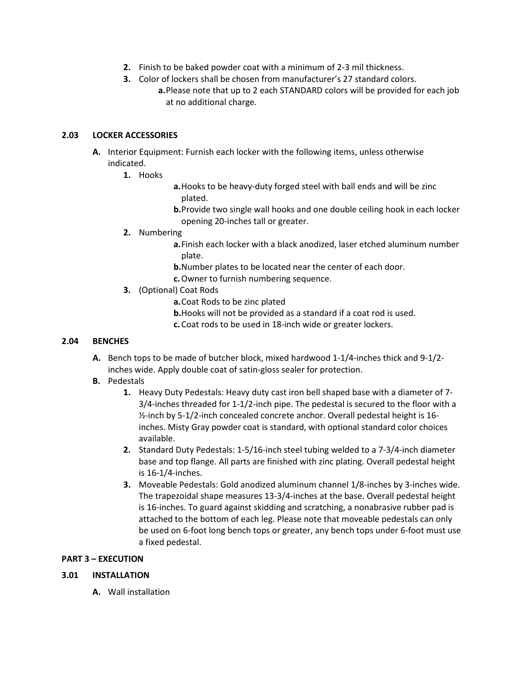- **2.** Finish to be baked powder coat with a minimum of 2-3 mil thickness.
- **3.** Color of lockers shall be chosen from manufacturer's 27 standard colors. **a.**Please note that up to 2 each STANDARD colors will be provided for each job at no additional charge.

# **2.03 LOCKER ACCESSORIES**

- **A.** Interior Equipment: Furnish each locker with the following items, unless otherwise indicated.
	- **1.** Hooks
- **a.**Hooks to be heavy-duty forged steel with ball ends and will be zinc plated.
- **b.**Provide two single wall hooks and one double ceiling hook in each locker opening 20-inches tall or greater.

# **2.** Numbering

- **a.**Finish each locker with a black anodized, laser etched aluminum number plate.
- **b.**Number plates to be located near the center of each door.
- **c.**Owner to furnish numbering sequence.
- **3.** (Optional) Coat Rods
	- **a.**Coat Rods to be zinc plated
	- **b.**Hooks will not be provided as a standard if a coat rod is used.
	- **c.**Coat rods to be used in 18-inch wide or greater lockers.

### **2.04 BENCHES**

- **A.** Bench tops to be made of butcher block, mixed hardwood 1-1/4-inches thick and 9-1/2 inches wide. Apply double coat of satin-gloss sealer for protection.
- **B.** Pedestals
	- **1.** Heavy Duty Pedestals: Heavy duty cast iron bell shaped base with a diameter of 7- 3/4-inches threaded for 1-1/2-inch pipe. The pedestal is secured to the floor with a ½-inch by 5-1/2-inch concealed concrete anchor. Overall pedestal height is 16 inches. Misty Gray powder coat is standard, with optional standard color choices available.
	- **2.** Standard Duty Pedestals: 1-5/16-inch steel tubing welded to a 7-3/4-inch diameter base and top flange. All parts are finished with zinc plating. Overall pedestal height is 16-1/4-inches.
	- **3.** Moveable Pedestals: Gold anodized aluminum channel 1/8-inches by 3-inches wide. The trapezoidal shape measures 13-3/4-inches at the base. Overall pedestal height is 16-inches. To guard against skidding and scratching, a nonabrasive rubber pad is attached to the bottom of each leg. Please note that moveable pedestals can only be used on 6-foot long bench tops or greater, any bench tops under 6-foot must use a fixed pedestal.

### **PART 3 – EXECUTION**

### **3.01 INSTALLATION**

**A.** Wall installation